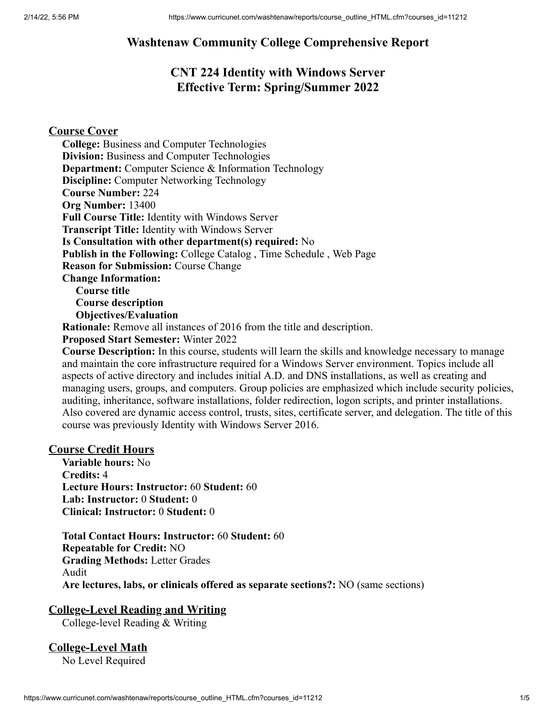# **Washtenaw Community College Comprehensive Report**

# **CNT 224 Identity with Windows Server Effective Term: Spring/Summer 2022**

# **Course Cover**

**College:** Business and Computer Technologies **Division:** Business and Computer Technologies **Department:** Computer Science & Information Technology **Discipline:** Computer Networking Technology **Course Number:** 224 **Org Number:** 13400 **Full Course Title:** Identity with Windows Server **Transcript Title:** Identity with Windows Server **Is Consultation with other department(s) required:** No **Publish in the Following:** College Catalog , Time Schedule , Web Page **Reason for Submission:** Course Change **Change Information: Course title Course description Objectives/Evaluation Rationale:** Remove all instances of 2016 from the title and description. **Proposed Start Semester:** Winter 2022

**Course Description:** In this course, students will learn the skills and knowledge necessary to manage and maintain the core infrastructure required for a Windows Server environment. Topics include all aspects of active directory and includes initial A.D. and DNS installations, as well as creating and managing users, groups, and computers. Group policies are emphasized which include security policies, auditing, inheritance, software installations, folder redirection, logon scripts, and printer installations. Also covered are dynamic access control, trusts, sites, certificate server, and delegation. The title of this course was previously Identity with Windows Server 2016.

## **Course Credit Hours**

**Variable hours:** No **Credits:** 4 **Lecture Hours: Instructor:** 60 **Student:** 60 **Lab: Instructor:** 0 **Student:** 0 **Clinical: Instructor:** 0 **Student:** 0

**Total Contact Hours: Instructor:** 60 **Student:** 60 **Repeatable for Credit:** NO **Grading Methods:** Letter Grades Audit **Are lectures, labs, or clinicals offered as separate sections?:** NO (same sections)

# **College-Level Reading and Writing**

College-level Reading & Writing

# **College-Level Math**

No Level Required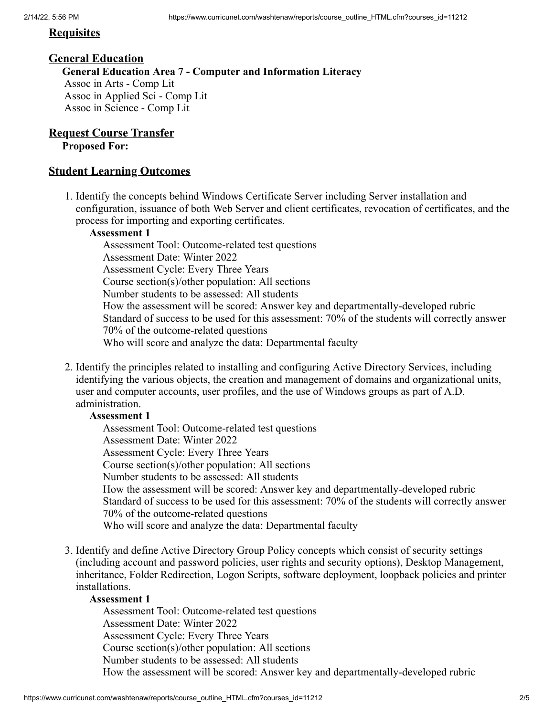### **Requisites**

## **General Education**

**General Education Area 7 - Computer and Information Literacy** Assoc in Arts - Comp Lit Assoc in Applied Sci - Comp Lit Assoc in Science - Comp Lit

**Request Course Transfer Proposed For:**

## **Student Learning Outcomes**

1. Identify the concepts behind Windows Certificate Server including Server installation and configuration, issuance of both Web Server and client certificates, revocation of certificates, and the process for importing and exporting certificates.

### **Assessment 1**

Assessment Tool: Outcome-related test questions Assessment Date: Winter 2022 Assessment Cycle: Every Three Years Course section(s)/other population: All sections Number students to be assessed: All students How the assessment will be scored: Answer key and departmentally-developed rubric Standard of success to be used for this assessment: 70% of the students will correctly answer 70% of the outcome-related questions Who will score and analyze the data: Departmental faculty

2. Identify the principles related to installing and configuring Active Directory Services, including identifying the various objects, the creation and management of domains and organizational units, user and computer accounts, user profiles, and the use of Windows groups as part of A.D. administration.

### **Assessment 1**

Assessment Tool: Outcome-related test questions Assessment Date: Winter 2022 Assessment Cycle: Every Three Years Course section(s)/other population: All sections Number students to be assessed: All students How the assessment will be scored: Answer key and departmentally-developed rubric Standard of success to be used for this assessment: 70% of the students will correctly answer 70% of the outcome-related questions Who will score and analyze the data: Departmental faculty

3. Identify and define Active Directory Group Policy concepts which consist of security settings (including account and password policies, user rights and security options), Desktop Management, inheritance, Folder Redirection, Logon Scripts, software deployment, loopback policies and printer installations.

### **Assessment 1**

Assessment Tool: Outcome-related test questions Assessment Date: Winter 2022 Assessment Cycle: Every Three Years Course section(s)/other population: All sections Number students to be assessed: All students How the assessment will be scored: Answer key and departmentally-developed rubric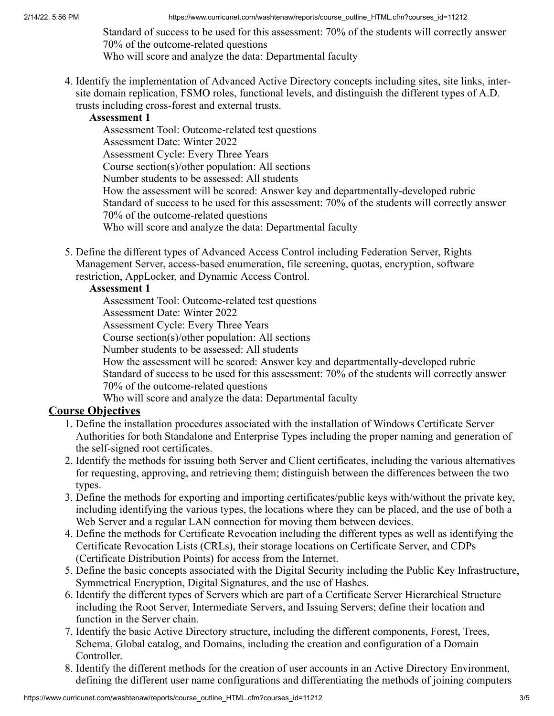Standard of success to be used for this assessment: 70% of the students will correctly answer 70% of the outcome-related questions Who will score and analyze the data: Departmental faculty

4. Identify the implementation of Advanced Active Directory concepts including sites, site links, intersite domain replication, FSMO roles, functional levels, and distinguish the different types of A.D. trusts including cross-forest and external trusts.

# **Assessment 1**

Assessment Tool: Outcome-related test questions Assessment Date: Winter 2022 Assessment Cycle: Every Three Years Course section(s)/other population: All sections Number students to be assessed: All students How the assessment will be scored: Answer key and departmentally-developed rubric Standard of success to be used for this assessment: 70% of the students will correctly answer 70% of the outcome-related questions Who will score and analyze the data: Departmental faculty

5. Define the different types of Advanced Access Control including Federation Server, Rights Management Server, access-based enumeration, file screening, quotas, encryption, software restriction, AppLocker, and Dynamic Access Control.

# **Assessment 1**

Assessment Tool: Outcome-related test questions

Assessment Date: Winter 2022

Assessment Cycle: Every Three Years

Course section(s)/other population: All sections

Number students to be assessed: All students

How the assessment will be scored: Answer key and departmentally-developed rubric Standard of success to be used for this assessment: 70% of the students will correctly answer 70% of the outcome-related questions

Who will score and analyze the data: Departmental faculty

# **Course Objectives**

- 1. Define the installation procedures associated with the installation of Windows Certificate Server Authorities for both Standalone and Enterprise Types including the proper naming and generation of the self-signed root certificates.
- 2. Identify the methods for issuing both Server and Client certificates, including the various alternatives for requesting, approving, and retrieving them; distinguish between the differences between the two types.
- 3. Define the methods for exporting and importing certificates/public keys with/without the private key, including identifying the various types, the locations where they can be placed, and the use of both a Web Server and a regular LAN connection for moving them between devices.
- 4. Define the methods for Certificate Revocation including the different types as well as identifying the Certificate Revocation Lists (CRLs), their storage locations on Certificate Server, and CDPs (Certificate Distribution Points) for access from the Internet.
- 5. Define the basic concepts associated with the Digital Security including the Public Key Infrastructure, Symmetrical Encryption, Digital Signatures, and the use of Hashes.
- 6. Identify the different types of Servers which are part of a Certificate Server Hierarchical Structure including the Root Server, Intermediate Servers, and Issuing Servers; define their location and function in the Server chain.
- 7. Identify the basic Active Directory structure, including the different components, Forest, Trees, Schema, Global catalog, and Domains, including the creation and configuration of a Domain Controller.
- 8. Identify the different methods for the creation of user accounts in an Active Directory Environment, defining the different user name configurations and differentiating the methods of joining computers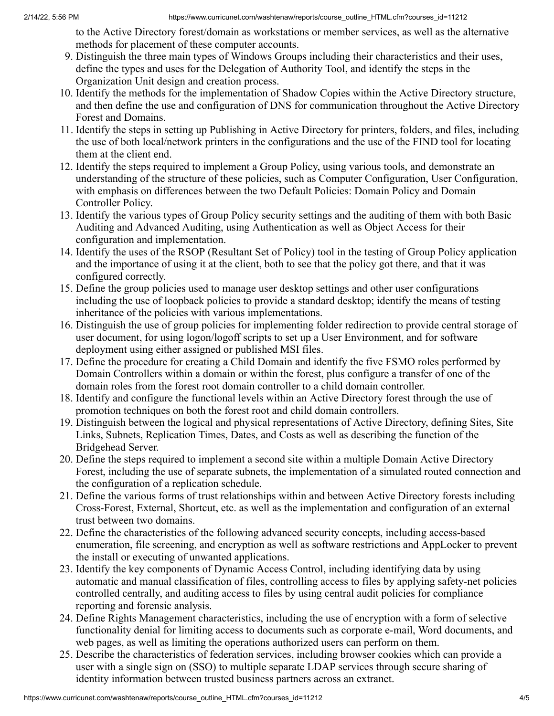to the Active Directory forest/domain as workstations or member services, as well as the alternative methods for placement of these computer accounts.

- 9. Distinguish the three main types of Windows Groups including their characteristics and their uses, define the types and uses for the Delegation of Authority Tool, and identify the steps in the Organization Unit design and creation process.
- 10. Identify the methods for the implementation of Shadow Copies within the Active Directory structure, and then define the use and configuration of DNS for communication throughout the Active Directory Forest and Domains.
- 11. Identify the steps in setting up Publishing in Active Directory for printers, folders, and files, including the use of both local/network printers in the configurations and the use of the FIND tool for locating them at the client end.
- 12. Identify the steps required to implement a Group Policy, using various tools, and demonstrate an understanding of the structure of these policies, such as Computer Configuration, User Configuration, with emphasis on differences between the two Default Policies: Domain Policy and Domain Controller Policy.
- 13. Identify the various types of Group Policy security settings and the auditing of them with both Basic Auditing and Advanced Auditing, using Authentication as well as Object Access for their configuration and implementation.
- 14. Identify the uses of the RSOP (Resultant Set of Policy) tool in the testing of Group Policy application and the importance of using it at the client, both to see that the policy got there, and that it was configured correctly.
- 15. Define the group policies used to manage user desktop settings and other user configurations including the use of loopback policies to provide a standard desktop; identify the means of testing inheritance of the policies with various implementations.
- 16. Distinguish the use of group policies for implementing folder redirection to provide central storage of user document, for using logon/logoff scripts to set up a User Environment, and for software deployment using either assigned or published MSI files.
- 17. Define the procedure for creating a Child Domain and identify the five FSMO roles performed by Domain Controllers within a domain or within the forest, plus configure a transfer of one of the domain roles from the forest root domain controller to a child domain controller.
- 18. Identify and configure the functional levels within an Active Directory forest through the use of promotion techniques on both the forest root and child domain controllers.
- 19. Distinguish between the logical and physical representations of Active Directory, defining Sites, Site Links, Subnets, Replication Times, Dates, and Costs as well as describing the function of the Bridgehead Server.
- 20. Define the steps required to implement a second site within a multiple Domain Active Directory Forest, including the use of separate subnets, the implementation of a simulated routed connection and the configuration of a replication schedule.
- 21. Define the various forms of trust relationships within and between Active Directory forests including Cross-Forest, External, Shortcut, etc. as well as the implementation and configuration of an external trust between two domains.
- 22. Define the characteristics of the following advanced security concepts, including access-based enumeration, file screening, and encryption as well as software restrictions and AppLocker to prevent the install or executing of unwanted applications.
- 23. Identify the key components of Dynamic Access Control, including identifying data by using automatic and manual classification of files, controlling access to files by applying safety-net policies controlled centrally, and auditing access to files by using central audit policies for compliance reporting and forensic analysis.
- 24. Define Rights Management characteristics, including the use of encryption with a form of selective functionality denial for limiting access to documents such as corporate e-mail, Word documents, and web pages, as well as limiting the operations authorized users can perform on them.
- 25. Describe the characteristics of federation services, including browser cookies which can provide a user with a single sign on (SSO) to multiple separate LDAP services through secure sharing of identity information between trusted business partners across an extranet.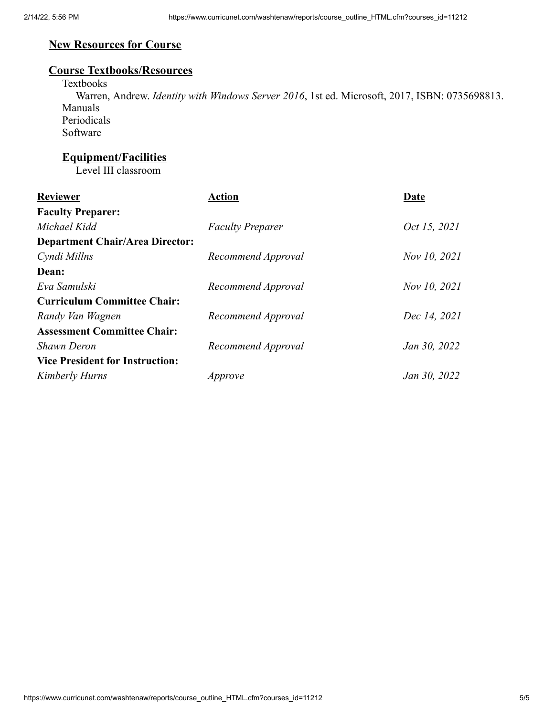# **New Resources for Course**

# **Course Textbooks/Resources**

Textbooks Warren, Andrew. *Identity with Windows Server 2016*, 1st ed. Microsoft, 2017, ISBN: 0735698813. Manuals Periodicals Software

# **Equipment/Facilities**

Level III classroom

| <b>Reviewer</b>                        | <b>Action</b>           | Date         |
|----------------------------------------|-------------------------|--------------|
| <b>Faculty Preparer:</b>               |                         |              |
| Michael Kidd                           | <b>Faculty Preparer</b> | Oct 15, 2021 |
| <b>Department Chair/Area Director:</b> |                         |              |
| Cyndi Millns                           | Recommend Approval      | Nov 10, 2021 |
| Dean:                                  |                         |              |
| Eva Samulski                           | Recommend Approval      | Nov 10, 2021 |
| <b>Curriculum Committee Chair:</b>     |                         |              |
| Randy Van Wagnen                       | Recommend Approval      | Dec 14, 2021 |
| <b>Assessment Committee Chair:</b>     |                         |              |
| Shawn Deron                            | Recommend Approval      | Jan 30, 2022 |
| <b>Vice President for Instruction:</b> |                         |              |
| Kimberly Hurns                         | Approve                 | Jan 30, 2022 |
|                                        |                         |              |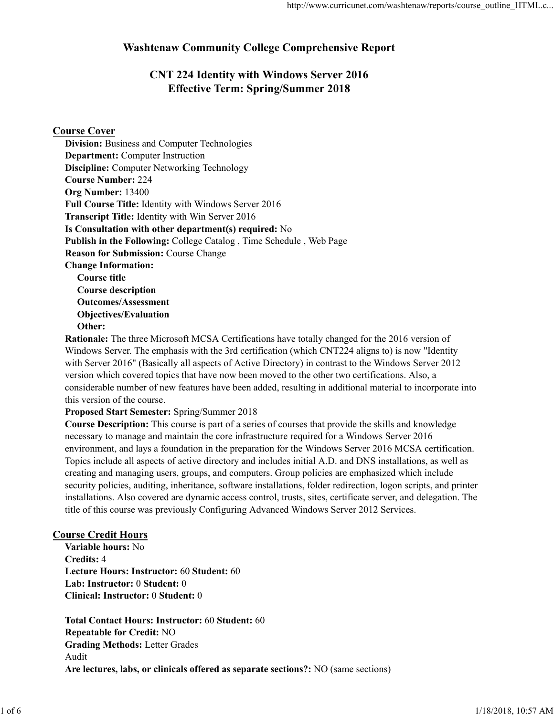# Washtenaw Community College Comprehensive Report

# CNT 224 Identity with Windows Server 2016 Effective Term: Spring/Summer 2018

## Course Cover

| <b>Division:</b> Business and Computer Technologies                       |
|---------------------------------------------------------------------------|
| <b>Department:</b> Computer Instruction                                   |
| <b>Discipline:</b> Computer Networking Technology                         |
| <b>Course Number: 224</b>                                                 |
| Org Number: 13400                                                         |
| <b>Full Course Title: Identity with Windows Server 2016</b>               |
| Transcript Title: Identity with Win Server 2016                           |
| Is Consultation with other department(s) required: No                     |
| <b>Publish in the Following:</b> College Catalog, Time Schedule, Web Page |
| <b>Reason for Submission: Course Change</b>                               |
| <b>Change Information:</b>                                                |
| <b>Course title</b>                                                       |
| <b>Course description</b>                                                 |
| <b>Outcomes/Assessment</b>                                                |
| <b>Objectives/Evaluation</b>                                              |
| Other:                                                                    |

Rationale: The three Microsoft MCSA Certifications have totally changed for the 2016 version of Windows Server. The emphasis with the 3rd certification (which CNT224 aligns to) is now "Identity with Server 2016" (Basically all aspects of Active Directory) in contrast to the Windows Server 2012 version which covered topics that have now been moved to the other two certifications. Also, a considerable number of new features have been added, resulting in additional material to incorporate into this version of the course.

#### Proposed Start Semester: Spring/Summer 2018

Course Description: This course is part of a series of courses that provide the skills and knowledge necessary to manage and maintain the core infrastructure required for a Windows Server 2016 environment, and lays a foundation in the preparation for the Windows Server 2016 MCSA certification. Topics include all aspects of active directory and includes initial A.D. and DNS installations, as well as creating and managing users, groups, and computers. Group policies are emphasized which include security policies, auditing, inheritance, software installations, folder redirection, logon scripts, and printer installations. Also covered are dynamic access control, trusts, sites, certificate server, and delegation. The title of this course was previously Configuring Advanced Windows Server 2012 Services.

### Course Credit Hours

Variable hours: No Credits: 4 Lecture Hours: Instructor: 60 Student: 60 Lab: Instructor: 0 Student: 0 Clinical: Instructor: 0 Student: 0

Total Contact Hours: Instructor: 60 Student: 60 Repeatable for Credit: NO Grading Methods: Letter Grades Audit Are lectures, labs, or clinicals offered as separate sections?: NO (same sections) sexurity policies, sudding, inheritance, software installations, folder redirection, logon seripts, and printer installations. Also covered are dynamic access control, trusts, sites, certificate server, and delegation. The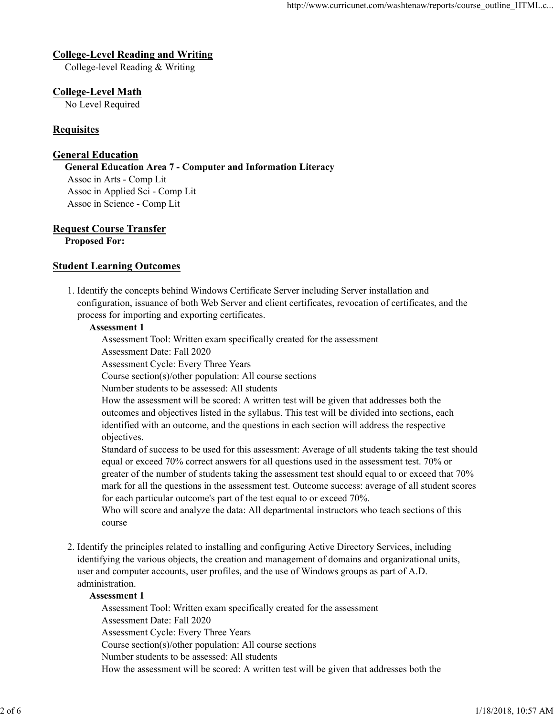## College-Level Reading and Writing

College-level Reading & Writing

# College-Level Math

No Level Required

## **Requisites**

## General Education

General Education Area 7 - Computer and Information Literacy Assoc in Arts - Comp Lit Assoc in Applied Sci - Comp Lit Assoc in Science - Comp Lit

#### Request Course Transfer Proposed For:

## Student Learning Outcomes

1. Identify the concepts behind Windows Certificate Server including Server installation and configuration, issuance of both Web Server and client certificates, revocation of certificates, and the process for importing and exporting certificates.

#### Assessment 1

Assessment Tool: Written exam specifically created for the assessment

Assessment Date: Fall 2020

Assessment Cycle: Every Three Years

Course section(s)/other population: All course sections

Number students to be assessed: All students

How the assessment will be scored: A written test will be given that addresses both the outcomes and objectives listed in the syllabus. This test will be divided into sections, each identified with an outcome, and the questions in each section will address the respective objectives.

Standard of success to be used for this assessment: Average of all students taking the test should equal or exceed 70% correct answers for all questions used in the assessment test. 70% or greater of the number of students taking the assessment test should equal to or exceed that 70% mark for all the questions in the assessment test. Outcome success: average of all student scores for each particular outcome's part of the test equal to or exceed 70%.

Who will score and analyze the data: All departmental instructors who teach sections of this course

2. Identify the principles related to installing and configuring Active Directory Services, including identifying the various objects, the creation and management of domains and organizational units, user and computer accounts, user profiles, and the use of Windows groups as part of A.D. administration.

#### Assessment 1

Assessment Tool: Written exam specifically created for the assessment Assessment Date: Fall 2020 Assessment Cycle: Every Three Years Course section(s)/other population: All course sections Number students to be assessed: All students How the assessment will be scored: A written test will be given that addresses both the Fraction of a concellent matrice of solutions and the system of the system of the system of the system of the system of the system of the system of the system of the system of the system of the system of the system of the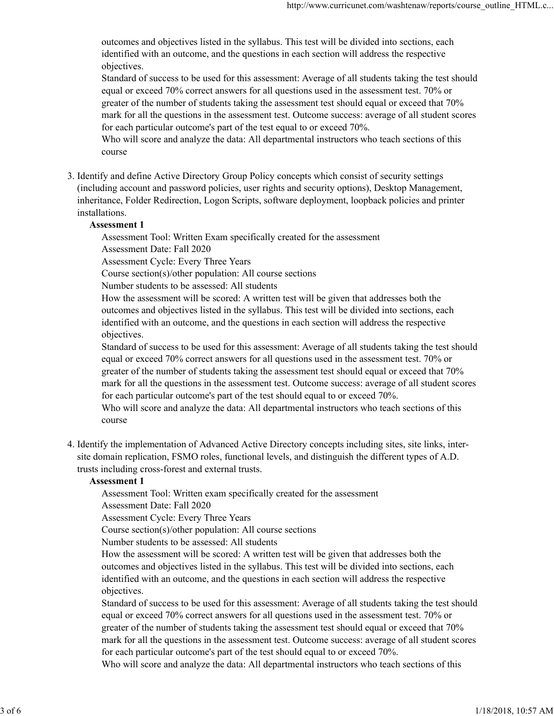outcomes and objectives listed in the syllabus. This test will be divided into sections, each identified with an outcome, and the questions in each section will address the respective objectives.

Standard of success to be used for this assessment: Average of all students taking the test should equal or exceed 70% correct answers for all questions used in the assessment test. 70% or greater of the number of students taking the assessment test should equal or exceed that 70% mark for all the questions in the assessment test. Outcome success: average of all student scores for each particular outcome's part of the test equal to or exceed 70%.

Who will score and analyze the data: All departmental instructors who teach sections of this course

3. Identify and define Active Directory Group Policy concepts which consist of security settings (including account and password policies, user rights and security options), Desktop Management, inheritance, Folder Redirection, Logon Scripts, software deployment, loopback policies and printer installations.

### Assessment 1

Assessment Tool: Written Exam specifically created for the assessment Assessment Date: Fall 2020

Assessment Cycle: Every Three Years

Course section(s)/other population: All course sections

Number students to be assessed: All students

How the assessment will be scored: A written test will be given that addresses both the outcomes and objectives listed in the syllabus. This test will be divided into sections, each identified with an outcome, and the questions in each section will address the respective objectives.

Standard of success to be used for this assessment: Average of all students taking the test should equal or exceed 70% correct answers for all questions used in the assessment test. 70% or greater of the number of students taking the assessment test should equal or exceed that 70% mark for all the questions in the assessment test. Outcome success: average of all student scores for each particular outcome's part of the test should equal to or exceed 70%.

Who will score and analyze the data: All departmental instructors who teach sections of this course

4. Identify the implementation of Advanced Active Directory concepts including sites, site links, intersite domain replication, FSMO roles, functional levels, and distinguish the different types of A.D. trusts including cross-forest and external trusts.

### Assessment 1

Assessment Tool: Written exam specifically created for the assessment

Assessment Date: Fall 2020

Assessment Cycle: Every Three Years

Course section(s)/other population: All course sections

Number students to be assessed: All students

How the assessment will be scored: A written test will be given that addresses both the outcomes and objectives listed in the syllabus. This test will be divided into sections, each identified with an outcome, and the questions in each section will address the respective objectives.

Standard of success to be used for this assessment: Average of all students taking the test should equal or exceed 70% correct answers for all questions used in the assessment test. 70% or greater of the number of students taking the assessment test should equal or exceed that 70% mark for all the questions in the assessment test. Outcome success: average of all student scores for each particular outcome's part of the test should equal to or exceed 70%. Assessment 1<br>
Assessment Tool: Written exam specifically created for the assessment<br>
Assessment Date: Fall 2020<br>
Assessment Cycle: Every Three Years<br>
Course sections<br>
Number students to be assessed: All students<br>
How the

Who will score and analyze the data: All departmental instructors who teach sections of this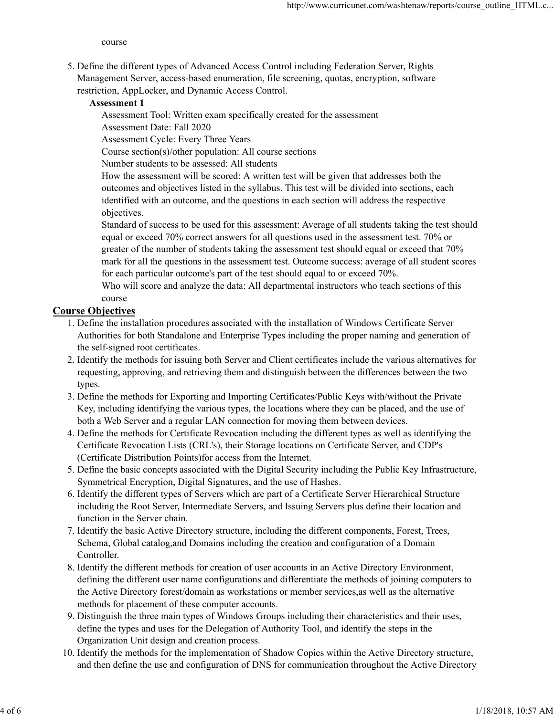course

5. Define the different types of Advanced Access Control including Federation Server, Rights Management Server, access-based enumeration, file screening, quotas, encryption, software restriction, AppLocker, and Dynamic Access Control.

#### Assessment 1

Assessment Tool: Written exam specifically created for the assessment Assessment Date: Fall 2020

Assessment Cycle: Every Three Years

Course section(s)/other population: All course sections

Number students to be assessed: All students

How the assessment will be scored: A written test will be given that addresses both the outcomes and objectives listed in the syllabus. This test will be divided into sections, each identified with an outcome, and the questions in each section will address the respective objectives.

Standard of success to be used for this assessment: Average of all students taking the test should equal or exceed 70% correct answers for all questions used in the assessment test. 70% or greater of the number of students taking the assessment test should equal or exceed that 70% mark for all the questions in the assessment test. Outcome success: average of all student scores for each particular outcome's part of the test should equal to or exceed 70%.

Who will score and analyze the data: All departmental instructors who teach sections of this course

### Course Objectives

- Define the installation procedures associated with the installation of Windows Certificate Server 1. Authorities for both Standalone and Enterprise Types including the proper naming and generation of the self-signed root certificates.
- 2. Identify the methods for issuing both Server and Client certificates include the various alternatives for requesting, approving, and retrieving them and distinguish between the differences between the two types.
- Define the methods for Exporting and Importing Certificates/Public Keys with/without the Private 3. Key, including identifying the various types, the locations where they can be placed, and the use of both a Web Server and a regular LAN connection for moving them between devices.
- Define the methods for Certificate Revocation including the different types as well as identifying the 4. Certificate Revocation Lists (CRL's), their Storage locations on Certificate Server, and CDP's (Certificate Distribution Points)for access from the Internet.
- 5. Define the basic concepts associated with the Digital Security including the Public Key Infrastructure, Symmetrical Encryption, Digital Signatures, and the use of Hashes.
- 6. Identify the different types of Servers which are part of a Certificate Server Hierarchical Structure including the Root Server, Intermediate Servers, and Issuing Servers plus define their location and function in the Server chain.
- 7. Identify the basic Active Directory structure, including the different components, Forest, Trees, Schema, Global catalog,and Domains including the creation and configuration of a Domain Controller.
- 8. Identify the different methods for creation of user accounts in an Active Directory Environment, defining the different user name configurations and differentiate the methods of joining computers to the Active Directory forest/domain as workstations or member services,as well as the alternative methods for placement of these computer accounts. Symmetrical Fineryption, Digital Signatures, and the use of Hashes.<br>
6. Identify the different types of Serves which are part of a Certificate Server Hierarchical Structure<br>
including the Root Server, Intermediate Servers,
	- Distinguish the three main types of Windows Groups including their characteristics and their uses, 9. define the types and uses for the Delegation of Authority Tool, and identify the steps in the Organization Unit design and creation process.
	- Identify the methods for the implementation of Shadow Copies within the Active Directory structure, 10. and then define the use and configuration of DNS for communication throughout the Active Directory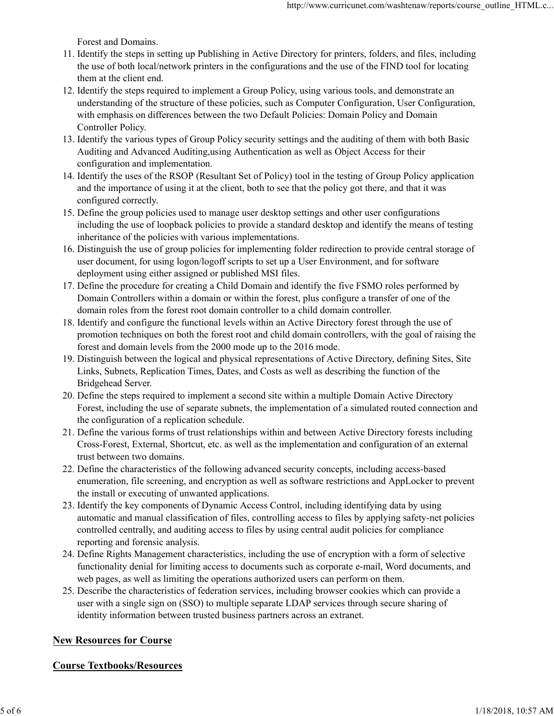Forest and Domains.

- Identify the steps in setting up Publishing in Active Directory for printers, folders, and files, including 11. the use of both local/network printers in the configurations and the use of the FIND tool for locating them at the client end.
- 12. Identify the steps required to implement a Group Policy, using various tools, and demonstrate an understanding of the structure of these policies, such as Computer Configuration, User Configuration, with emphasis on differences between the two Default Policies: Domain Policy and Domain Controller Policy.
- 13. Identify the various types of Group Policy security settings and the auditing of them with both Basic Auditing and Advanced Auditing,using Authentication as well as Object Access for their configuration and implementation.
- Identify the uses of the RSOP (Resultant Set of Policy) tool in the testing of Group Policy application 14. and the importance of using it at the client, both to see that the policy got there, and that it was configured correctly.
- 15. Define the group policies used to manage user desktop settings and other user configurations including the use of loopback policies to provide a standard desktop and identify the means of testing inheritance of the policies with various implementations.
- 16. Distinguish the use of group policies for implementing folder redirection to provide central storage of user document, for using logon/logoff scripts to set up a User Environment, and for software deployment using either assigned or published MSI files.
- 17. Define the procedure for creating a Child Domain and identify the five FSMO roles performed by Domain Controllers within a domain or within the forest, plus configure a transfer of one of the domain roles from the forest root domain controller to a child domain controller.
- 18. Identify and configure the functional levels within an Active Directory forest through the use of promotion techniques on both the forest root and child domain controllers, with the goal of raising the forest and domain levels from the 2000 mode up to the 2016 mode.
- 19. Distinguish between the logical and physical representations of Active Directory, defining Sites, Site Links, Subnets, Replication Times, Dates, and Costs as well as describing the function of the Bridgehead Server.
- 20. Define the steps required to implement a second site within a multiple Domain Active Directory Forest, including the use of separate subnets, the implementation of a simulated routed connection and the configuration of a replication schedule.
- 21. Define the various forms of trust relationships within and between Active Directory forests including Cross-Forest, External, Shortcut, etc. as well as the implementation and configuration of an external trust between two domains.
- 22. Define the characteristics of the following advanced security concepts, including access-based enumeration, file screening, and encryption as well as software restrictions and AppLocker to prevent the install or executing of unwanted applications.
- 23. Identify the key components of Dynamic Access Control, including identifying data by using automatic and manual classification of files, controlling access to files by applying safety-net policies controlled centrally, and auditing access to files by using central audit policies for compliance reporting and forensic analysis. enumeration, file sereening, and encryption as well as software restrictions and AppLocker to prevent<br>the install or executing of unwanted applications.<br>
23. Identify the key components of Dynamic Access Control, including
	- Define Rights Management characteristics, including the use of encryption with a form of selective 24. functionality denial for limiting access to documents such as corporate e-mail, Word documents, and web pages, as well as limiting the operations authorized users can perform on them.
	- 25. Describe the characteristics of federation services, including browser cookies which can provide a user with a single sign on (SSO) to multiple separate LDAP services through secure sharing of identity information between trusted business partners across an extranet.

## New Resources for Course

### Course Textbooks/Resources